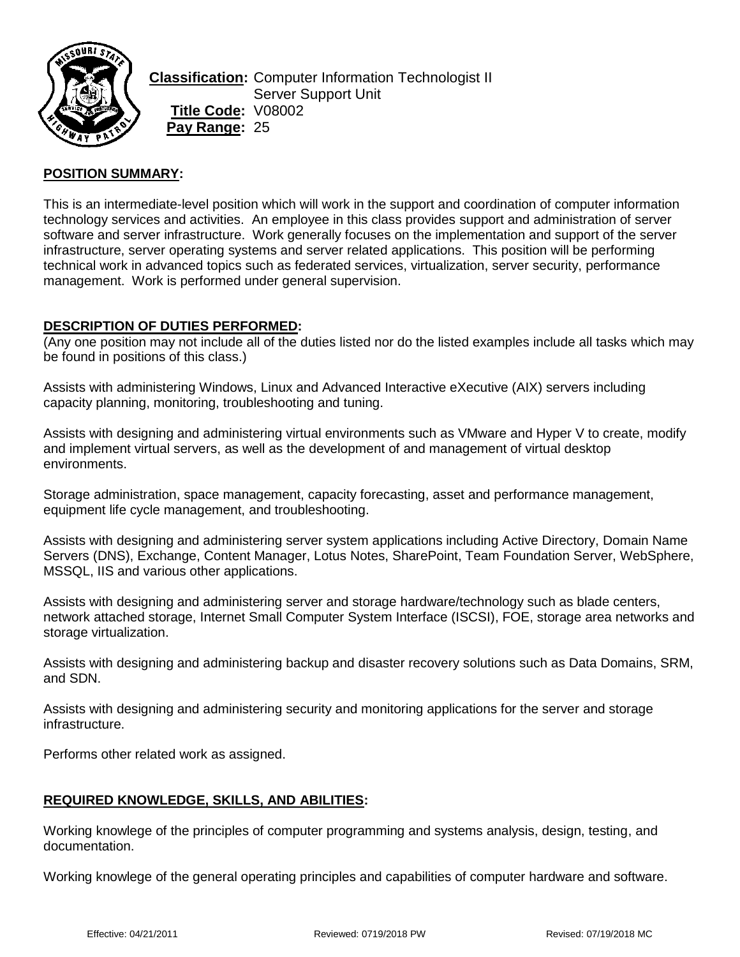

**Classification:** Computer Information Technologist II Server Support Unit **Title Code:** V08002 **Pay Range:** 25

### **POSITION SUMMARY:**

This is an intermediate-level position which will work in the support and coordination of computer information technology services and activities. An employee in this class provides support and administration of server software and server infrastructure. Work generally focuses on the implementation and support of the server infrastructure, server operating systems and server related applications. This position will be performing technical work in advanced topics such as federated services, virtualization, server security, performance management. Work is performed under general supervision.

### **DESCRIPTION OF DUTIES PERFORMED:**

(Any one position may not include all of the duties listed nor do the listed examples include all tasks which may be found in positions of this class.)

Assists with administering Windows, Linux and Advanced Interactive eXecutive (AIX) servers including capacity planning, monitoring, troubleshooting and tuning.

Assists with designing and administering virtual environments such as VMware and Hyper V to create, modify and implement virtual servers, as well as the development of and management of virtual desktop environments.

Storage administration, space management, capacity forecasting, asset and performance management, equipment life cycle management, and troubleshooting.

Assists with designing and administering server system applications including Active Directory, Domain Name Servers (DNS), Exchange, Content Manager, Lotus Notes, SharePoint, Team Foundation Server, WebSphere, MSSQL, IIS and various other applications.

Assists with designing and administering server and storage hardware/technology such as blade centers, network attached storage, Internet Small Computer System Interface (ISCSI), FOE, storage area networks and storage virtualization.

Assists with designing and administering backup and disaster recovery solutions such as Data Domains, SRM, and SDN.

Assists with designing and administering security and monitoring applications for the server and storage infrastructure.

Performs other related work as assigned.

# **REQUIRED KNOWLEDGE, SKILLS, AND ABILITIES:**

Working knowlege of the principles of computer programming and systems analysis, design, testing, and documentation.

Working knowlege of the general operating principles and capabilities of computer hardware and software.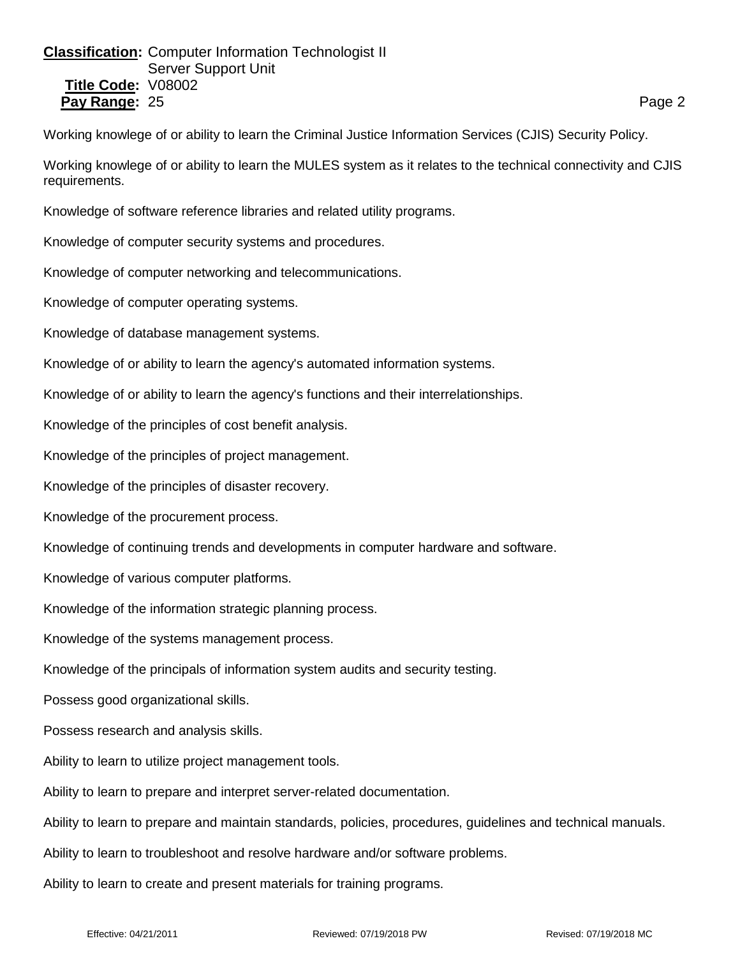# **Classification:** Computer Information Technologist II Server Support Unit **Title Code:** V08002 **Pay Range:** 25 **Page 2 Page 2 Page 2 Page 2 Page 2 Page 2 Page 2 Page 2**

Working knowlege of or ability to learn the Criminal Justice Information Services (CJIS) Security Policy.

Working knowlege of or ability to learn the MULES system as it relates to the technical connectivity and CJIS requirements.

Knowledge of software reference libraries and related utility programs.

Knowledge of computer security systems and procedures.

Knowledge of computer networking and telecommunications.

Knowledge of computer operating systems.

Knowledge of database management systems.

Knowledge of or ability to learn the agency's automated information systems.

Knowledge of or ability to learn the agency's functions and their interrelationships.

Knowledge of the principles of cost benefit analysis.

Knowledge of the principles of project management.

Knowledge of the principles of disaster recovery.

Knowledge of the procurement process.

Knowledge of continuing trends and developments in computer hardware and software.

Knowledge of various computer platforms.

Knowledge of the information strategic planning process.

Knowledge of the systems management process.

Knowledge of the principals of information system audits and security testing.

Possess good organizational skills.

Possess research and analysis skills.

Ability to learn to utilize project management tools.

Ability to learn to prepare and interpret server-related documentation.

Ability to learn to prepare and maintain standards, policies, procedures, guidelines and technical manuals.

Ability to learn to troubleshoot and resolve hardware and/or software problems.

Ability to learn to create and present materials for training programs.